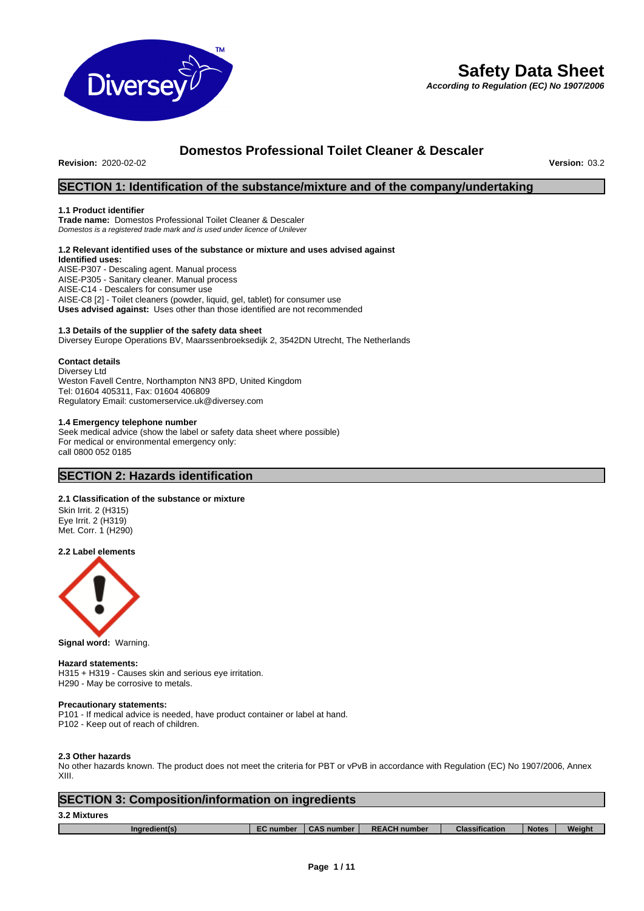

# **Safety Data Sheet**

*According to Regulation (EC) No 1907/2006*

# **Domestos Professional Toilet Cleaner & Descaler**

**Revision: 2020-02-02** 

# **SECTION 1: Identification of the substance/mixture and of the company/undertaking**

#### **1.1 Product identifier**

**Trade name:** Domestos Professional Toilet Cleaner & Descaler *Domestos is a registered trade mark and is used under licence of Unilever*

#### **1.2 Relevant identified uses of the substance or mixture and uses advised against Identified uses:** AISE-P307 - Descaling agent. Manual process AISE-P305 - Sanitary cleaner. Manual process

AISE-C14 - Descalers for consumer use AISE-C8 [2] - Toilet cleaners (powder, liquid, gel, tablet) for consumer use **Uses advised against:** Uses other than those identified are not recommended

#### **1.3 Details of the supplier of the safety data sheet**

Diversey Europe Operations BV, Maarssenbroeksedijk 2, 3542DN Utrecht, The Netherlands

#### **Contact details**

Diversey Ltd

Weston Favell Centre, Northampton NN3 8PD, United Kingdom Tel: 01604 405311, Fax: 01604 406809 Regulatory Email: customerservice.uk@diversey.com

#### **1.4 Emergency telephone number**

Seek medical advice (show the label or safety data sheet where possible) For medical or environmental emergency only: call 0800 052 0185

# **SECTION 2: Hazards identification**

#### **2.1 Classification of the substance or mixture**

Skin Irrit. 2 (H315) Eye Irrit. 2 (H319) Met. Corr. 1 (H290)

**2.2 Label elements**



**Signal word:** Warning.

#### **Hazard statements:**

H315 + H319 - Causes skin and serious eye irritation. H290 - May be corrosive to metals.

#### **Precautionary statements:**

P101 - If medical advice is needed, have product container or label at hand.

P102 - Keep out of reach of children.

#### **2.3 Other hazards**

No other hazards known. The product does not meet the criteria for PBT or vPvB in accordance with Regulation (EC) No 1907/2006, Annex XIII.

| <b>SECTION 3: Composition/information on ingredients</b> |                  |                   |                     |                       |              |        |  |
|----------------------------------------------------------|------------------|-------------------|---------------------|-----------------------|--------------|--------|--|
| 3.2 Mixtures                                             |                  |                   |                     |                       |              |        |  |
| Ingredient(s)                                            | <b>EC</b> number | <b>CAS number</b> | <b>REACH number</b> | <b>Classification</b> | <b>Notes</b> | Weight |  |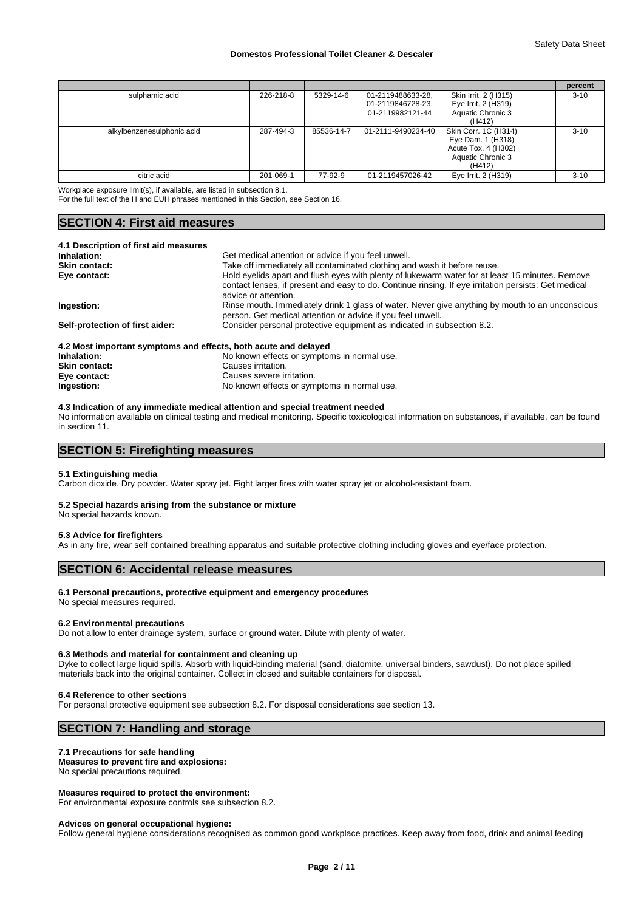|                            |           |            |                                                            |                                                                                                 | percent  |
|----------------------------|-----------|------------|------------------------------------------------------------|-------------------------------------------------------------------------------------------------|----------|
| sulphamic acid             | 226-218-8 | 5329-14-6  | 01-2119488633-28,<br>01-2119846728-23,<br>01-2119982121-44 | Skin Irrit. 2 (H315)<br>Eye Irrit. 2 (H319)<br>Aquatic Chronic 3<br>(H412)                      | $3 - 10$ |
| alkylbenzenesulphonic acid | 287-494-3 | 85536-14-7 | 01-2111-9490234-40                                         | Skin Corr. 1C (H314)<br>Eye Dam. 1 (H318)<br>Acute Tox. 4 (H302)<br>Aquatic Chronic 3<br>(H412) | $3 - 10$ |
| citric acid                | 201-069-1 | 77-92-9    | 01-2119457026-42                                           | Eye Irrit. 2 (H319)                                                                             | $3 - 10$ |

Workplace exposure limit(s), if available, are listed in subsection 8.1.

For the full text of the H and EUH phrases mentioned in this Section, see Section 16.

# **SECTION 4: First aid measures**

| 4.1 Description of first aid measures                           |                                                                                                                                                                                                                                 |
|-----------------------------------------------------------------|---------------------------------------------------------------------------------------------------------------------------------------------------------------------------------------------------------------------------------|
| Inhalation:                                                     | Get medical attention or advice if you feel unwell.                                                                                                                                                                             |
| <b>Skin contact:</b>                                            | Take off immediately all contaminated clothing and wash it before reuse.                                                                                                                                                        |
| Eye contact:                                                    | Hold eyelids apart and flush eyes with plenty of lukewarm water for at least 15 minutes. Remove<br>contact lenses, if present and easy to do. Continue rinsing. If eye irritation persists: Get medical<br>advice or attention. |
| Ingestion:                                                      | Rinse mouth. Immediately drink 1 glass of water. Never give anything by mouth to an unconscious<br>person. Get medical attention or advice if you feel unwell.                                                                  |
| Self-protection of first aider:                                 | Consider personal protective equipment as indicated in subsection 8.2.                                                                                                                                                          |
| 4.2 Most important symptoms and effects, both acute and delayed |                                                                                                                                                                                                                                 |

| <b>F.L MOST MIDOITAIN SYMPTOMS AND CHECLS, DOMI ACUTE AND GETTYCH</b> |                                             |
|-----------------------------------------------------------------------|---------------------------------------------|
| Inhalation:                                                           | No known effects or symptoms in normal use. |
| Skin contact:                                                         | Causes irritation.                          |
| Eye contact:                                                          | Causes severe irritation.                   |
| Ingestion:                                                            | No known effects or symptoms in normal use. |

#### **4.3 Indication of any immediate medical attention and special treatment needed**

No information available on clinical testing and medical monitoring. Specific toxicological information on substances, if available, can be found in section 11.

# **SECTION 5: Firefighting measures**

#### **5.1 Extinguishing media**

Carbon dioxide. Dry powder. Water spray jet. Fight larger fires with water spray jet or alcohol-resistant foam.

#### **5.2 Special hazards arising from the substance or mixture**

No special hazards known.

#### **5.3 Advice for firefighters**

As in any fire, wear self contained breathing apparatus and suitable protective clothing including gloves and eye/face protection.

# **SECTION 6: Accidental release measures**

#### **6.1 Personal precautions, protective equipment and emergency procedures**

# No special measures required.

**6.2 Environmental precautions**

Do not allow to enter drainage system, surface or ground water. Dilute with plenty of water.

#### **6.3 Methods and material for containment and cleaning up**

Dyke to collect large liquid spills. Absorb with liquid-binding material (sand, diatomite, universal binders, sawdust). Do not place spilled materials back into the original container. Collect in closed and suitable containers for disposal.

#### **6.4 Reference to other sections**

For personal protective equipment see subsection 8.2. For disposal considerations see section 13.

# **SECTION 7: Handling and storage**

#### **7.1 Precautions for safe handling**

**Measures to prevent fire and explosions:**

# No special precautions required.

#### **Measures required to protect the environment:**

For environmental exposure controls see subsection 8.2.

#### **Advices on general occupational hygiene:**

Follow general hygiene considerations recognised as common good workplace practices. Keep away from food, drink and animal feeding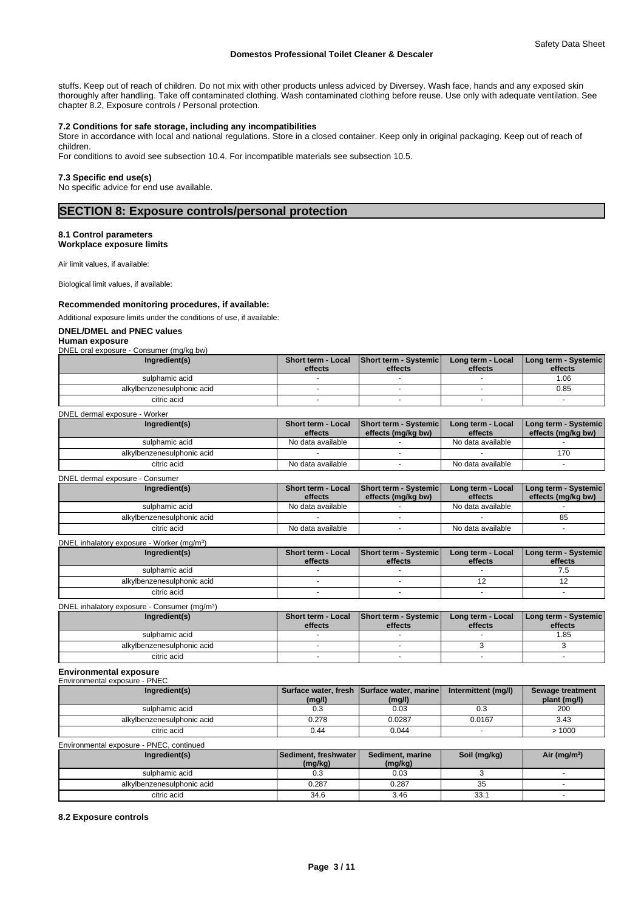stuffs. Keep out of reach of children. Do not mix with other products unless adviced by Diversey. Wash face, hands and any exposed skin thoroughly after handling. Take off contaminated clothing. Wash contaminated clothing before reuse. Use only with adequate ventilation. See chapter 8.2, Exposure controls / Personal protection.

#### **7.2 Conditions for safe storage, including any incompatibilities**

Store in accordance with local and national regulations. Store in a closed container. Keep only in original packaging. Keep out of reach of children.

For conditions to avoid see subsection 10.4. For incompatible materials see subsection 10.5.

#### **7.3 Specific end use(s)**

No specific advice for end use available.

## **SECTION 8: Exposure controls/personal protection**

### **8.1 Control parameters**

**Workplace exposure limits**

Air limit values, if available:

Biological limit values, if available:

#### **Recommended monitoring procedures, if available:**

#### Additional exposure limits under the conditions of use, if available:

#### **DNEL/DMEL and PNEC values**

### **Human exposure**

DNEL oral exposure - Consumer (mg/kg bw)

| Ingredient(s)              | effects | Short term - Local Short term - Systemic<br>effects | Long term - Local<br>effects | <b>ILong term - Systemic I</b><br>effects |  |
|----------------------------|---------|-----------------------------------------------------|------------------------------|-------------------------------------------|--|
| sulphamic acid             |         |                                                     |                              | 1.06                                      |  |
| alkylbenzenesulphonic acid |         |                                                     |                              | 0.85                                      |  |
| citric acid                |         |                                                     |                              |                                           |  |

| DNEL dermal exposure - Worker |  |
|-------------------------------|--|
|-------------------------------|--|

| Ingredient(s)              | <b>Short term - Local</b><br>effects | <b>Short term - Systemicl</b><br>effects (mg/kg bw) | Long term - Local<br>effects | <b>I Long term - Systemic I</b><br>effects (mg/kg bw) |
|----------------------------|--------------------------------------|-----------------------------------------------------|------------------------------|-------------------------------------------------------|
| sulphamic acid             | No data available                    |                                                     | No data available            |                                                       |
| alkylbenzenesulphonic acid |                                      |                                                     |                              | 170                                                   |
| citric acid                | No data available                    |                                                     | No data available            |                                                       |

DNEL dermal exposure - Consumer

| Ingredient(s)              | <b>Short term - Local</b><br>effects | Short term - Systemic<br>effects (ma/ka bw) | Long term - Local<br>effects | Long term - Systemic  <br>effects (mg/kg bw) |
|----------------------------|--------------------------------------|---------------------------------------------|------------------------------|----------------------------------------------|
| sulphamic acid             | No data available                    |                                             | No data available            |                                              |
| alkylbenzenesulphonic acid |                                      |                                             |                              | 85                                           |
| citric acid                | No data available                    |                                             | No data available            |                                              |
|                            |                                      |                                             |                              |                                              |

#### DNEL inhalatory exposure - Worker (mg/m<sup>3</sup>  $)$

| Ingredient(s)              | <b>Short term - Local</b><br>effects | Short term - Systemic<br>effects | Long term - Local<br>effects | Long term - Systemic<br>effects |
|----------------------------|--------------------------------------|----------------------------------|------------------------------|---------------------------------|
| sulphamic acid             |                                      |                                  |                              |                                 |
| alkylbenzenesulphonic acid |                                      |                                  |                              |                                 |
| citric acid                |                                      |                                  |                              |                                 |

| DNEL inhalatory exposure - Consumer (mg/m <sup>3</sup> ) |         |                                          |                   |                      |  |  |  |
|----------------------------------------------------------|---------|------------------------------------------|-------------------|----------------------|--|--|--|
| Ingredient(s)                                            |         | Short term - Local Short term - Systemic | Long term - Local | Long term - Systemic |  |  |  |
|                                                          | effects | effects                                  | effects           | effects              |  |  |  |
| sulphamic acid                                           |         |                                          |                   | .85                  |  |  |  |
| alkylbenzenesulphonic acid                               |         |                                          |                   |                      |  |  |  |
| citric acid                                              |         |                                          |                   |                      |  |  |  |

#### **Environmental exposure** Environmental exposure - PNEC

| Ingredient(s)                            | (mg/l) | Surface water, fresh Surface water, marine<br>(mg/l)                                      | Intermittent (mg/l) | Sewage treatment<br>plant (mg/l) |
|------------------------------------------|--------|-------------------------------------------------------------------------------------------|---------------------|----------------------------------|
| sulphamic acid                           | 0.3    | 0.03                                                                                      | 0.3                 | 200                              |
| alkylbenzenesulphonic acid               | 0.278  | 0.0287                                                                                    | 0.0167              | 3.43                             |
| citric acid                              | 0.44   | 0.044                                                                                     |                     | >1000                            |
| Environmental exposure - PNEC, continued |        |                                                                                           |                     |                                  |
|                                          |        | The Most committee of the committee of the committee of the committee of the committee of | A.11111.1           | $A + I$ . $I$ . $I$ . $2V$       |

| Ingredient(s)              | l Sediment. freshwater l<br>(mg/kg) | Sediment, marine<br>(mg/kg) | Soil (mg/kg) | Air (mg/m <sup>3</sup> ) |
|----------------------------|-------------------------------------|-----------------------------|--------------|--------------------------|
| sulphamic acid             | 0.3                                 | 0.03                        |              |                          |
| alkylbenzenesulphonic acid | 0.287                               | 0.287                       | 35           |                          |
| citric acid                | 34.6                                | 3.46                        | 33.1         |                          |

#### **8.2 Exposure controls**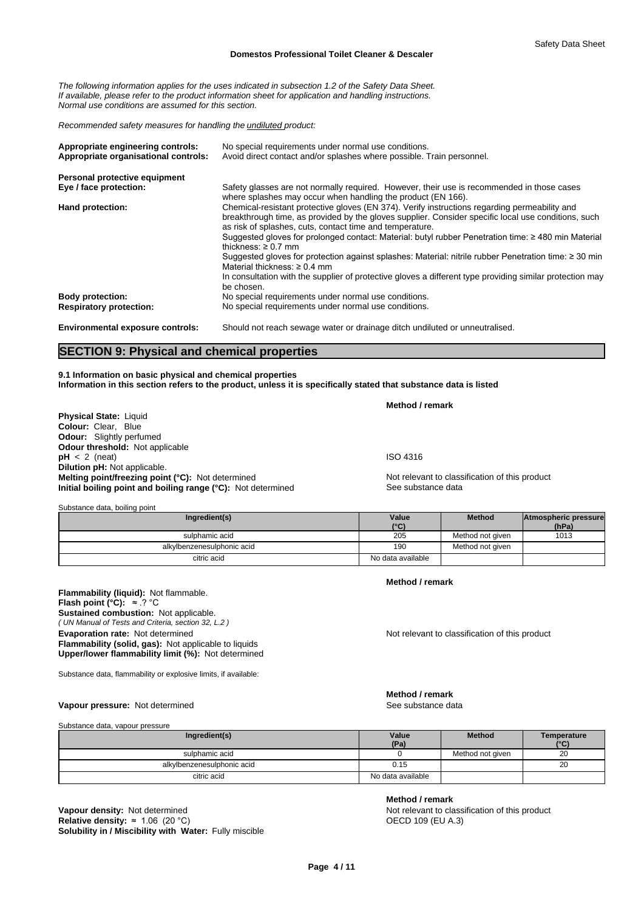*The following information applies for the uses indicated in subsection 1.2 of the Safety Data Sheet. If available, please refer to the product information sheet for application and handling instructions. Normal use conditions are assumed for this section.*

*Recommended safety measures for handling the undiluted product:*

| Appropriate engineering controls:       | No special requirements under normal use conditions.                                                                                                                                                                                                                                                                                                                                                                                                                                                                                                                                                                                                                             |
|-----------------------------------------|----------------------------------------------------------------------------------------------------------------------------------------------------------------------------------------------------------------------------------------------------------------------------------------------------------------------------------------------------------------------------------------------------------------------------------------------------------------------------------------------------------------------------------------------------------------------------------------------------------------------------------------------------------------------------------|
| Appropriate organisational controls:    | Avoid direct contact and/or splashes where possible. Train personnel.                                                                                                                                                                                                                                                                                                                                                                                                                                                                                                                                                                                                            |
| Personal protective equipment           |                                                                                                                                                                                                                                                                                                                                                                                                                                                                                                                                                                                                                                                                                  |
| Eye / face protection:                  | Safety glasses are not normally required. However, their use is recommended in those cases<br>where splashes may occur when handling the product (EN 166).                                                                                                                                                                                                                                                                                                                                                                                                                                                                                                                       |
| Hand protection:                        | Chemical-resistant protective gloves (EN 374). Verify instructions regarding permeability and<br>breakthrough time, as provided by the gloves supplier. Consider specific local use conditions, such<br>as risk of splashes, cuts, contact time and temperature.<br>Suggested gloves for prolonged contact: Material: butyl rubber Penetration time: $\geq$ 480 min Material<br>thickness: $\geq 0.7$ mm<br>Suggested gloves for protection against splashes: Material: nitrile rubber Penetration time: ≥ 30 min<br>Material thickness: $\geq 0.4$ mm<br>In consultation with the supplier of protective gloves a different type providing similar protection may<br>be chosen. |
| <b>Body protection:</b>                 | No special requirements under normal use conditions.                                                                                                                                                                                                                                                                                                                                                                                                                                                                                                                                                                                                                             |
| <b>Respiratory protection:</b>          | No special requirements under normal use conditions.                                                                                                                                                                                                                                                                                                                                                                                                                                                                                                                                                                                                                             |
| <b>Environmental exposure controls:</b> | Should not reach sewage water or drainage ditch undiluted or unneutralised.                                                                                                                                                                                                                                                                                                                                                                                                                                                                                                                                                                                                      |

# **SECTION 9: Physical and chemical properties**

**9.1 Information on basic physical and chemical properties Information in this section refers to the product, unless it is specifically stated that substance data is listed**

|                                                              | Method / remark                                |
|--------------------------------------------------------------|------------------------------------------------|
| <b>Physical State: Liquid</b>                                |                                                |
| <b>Colour: Clear. Blue</b>                                   |                                                |
| <b>Odour:</b> Slightly perfumed                              |                                                |
| <b>Odour threshold:</b> Not applicable                       |                                                |
| $pH < 2$ (neat)                                              | <b>ISO 4316</b>                                |
| <b>Dilution pH:</b> Not applicable.                          |                                                |
| Melting point/freezing point (°C): Not determined            | Not relevant to classification of this product |
| Initial boiling point and boiling range (°C): Not determined | See substance data                             |

Substance data, boiling point

| Ingredient(s)              | Value<br>(°C)     | <b>Method</b>    | Atmospheric pressure<br>(hPa) |  |
|----------------------------|-------------------|------------------|-------------------------------|--|
| sulphamic acid             | 205               | Method not given | 1013                          |  |
| alkylbenzenesulphonic acid | 190               | Method not given |                               |  |
| citric acid                | No data available |                  |                               |  |

**Flammability (liquid):** Not flammable. *( UN Manual of Tests and Criteria, section 32, L.2 )* **Flash point (°C):** ≈.?°C **Sustained combustion:** Not applicable. **Evaporation rate:** Not determined **Notice 2008** Not relevant to classification of this product **Flammability (solid, gas):** Not applicable to liquids **Upper/lower flammability limit (%):** Not determined

Substance data, flammability or explosive limits, if available:

#### Vapour pressure: Not determined

Substance data, vapour pressure

| Ingredient(s)              | Value<br>(Pa)     | <b>Method</b>    | Temperature<br>(°C) |
|----------------------------|-------------------|------------------|---------------------|
| sulphamic acid             |                   | Method not given | 20                  |
| alkylbenzenesulphonic acid | 0.15              |                  | 20                  |
| citric acid                | No data available |                  |                     |

**Solubility in / Miscibility with Water:** Fully miscible **Vapour density:** Not determined **Not relevant to classification of this product Relative density:** ≈ 1.06 (20 °C) **Not relevant to classification of this product Relative density:** ≈ 1.06 (20 °C) **Relative density:**  $\approx 1.06$  (20 °C)

**Method / remark**

**Method / remark**

**Method / remark**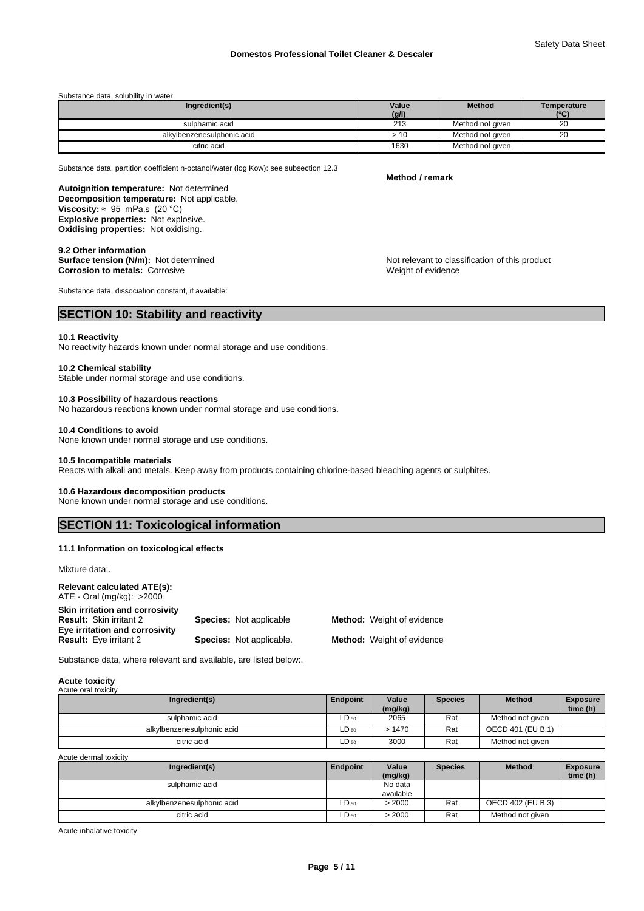| Substance data, solubility in water |  |
|-------------------------------------|--|
|-------------------------------------|--|

| Ingredient(s)              | Value | <b>Method</b>    | Temperature   |
|----------------------------|-------|------------------|---------------|
|                            | (g/l) |                  | $(^{\circ}C)$ |
| sulphamic acid             | 213   | Method not given | 20            |
| alkylbenzenesulphonic acid | >10   | Method not given | 20            |
| citric acid                | 1630  | Method not given |               |

Substance data, partition coefficient n-octanol/water (log Kow): see subsection 12.3

**Decomposition temperature:** Not applicable. **Autoignition temperature:** Not determined **Viscosity:**  $\approx$  95 mPa.s (20 °C) **Explosive properties:** Not explosive. **Oxidising properties:** Not oxidising.

#### **9.2 Other information**

**Corrosion to metals:** Corrosive **Corrosition Corrosition Corrosition Weight of evidence** 

Substance data, dissociation constant, if available:

# **SECTION 10: Stability and reactivity**

#### **10.1 Reactivity**

No reactivity hazards known under normal storage and use conditions.

#### **10.2 Chemical stability**

Stable under normal storage and use conditions.

#### **10.3 Possibility of hazardous reactions**

No hazardous reactions known under normal storage and use conditions.

#### **10.4 Conditions to avoid**

None known under normal storage and use conditions.

#### **10.5 Incompatible materials**

Reacts with alkali and metals. Keep away from products containing chlorine-based bleaching agents or sulphites.

#### **10.6 Hazardous decomposition products**

None known under normal storage and use conditions.

# **SECTION 11: Toxicological information**

#### **11.1 Information on toxicological effects**

Mixture data:.

| <b>Relevant calculated ATE(s):</b><br>$ATE - Oral$ (mg/kg): $>2000$ |                                 |                                   |
|---------------------------------------------------------------------|---------------------------------|-----------------------------------|
| Skin irritation and corrosivity<br><b>Result: Skin irritant 2</b>   | <b>Species: Not applicable</b>  | <b>Method:</b> Weight of evidence |
| Eye irritation and corrosivity<br><b>Result:</b> Eye irritant 2     | <b>Species:</b> Not applicable. | <b>Method:</b> Weight of evidence |

Substance data, where relevant and available, are listed below:.

#### **Acute toxicity**

| Acute oral toxicity        |           |                  |                |                   |                             |
|----------------------------|-----------|------------------|----------------|-------------------|-----------------------------|
| Ingredient(s)              | Endpoint  | Value<br>(mg/kg) | <b>Species</b> | <b>Method</b>     | <b>Exposure</b><br>time (h) |
| sulphamic acid             | $LD_{50}$ | 2065             | Rat            | Method not given  |                             |
| alkylbenzenesulphonic acid | $LD_{50}$ | >1470            | Rat            | OECD 401 (EU B.1) |                             |
| citric acid                | $LD_{50}$ | 3000             | Rat            | Method not given  |                             |

Acute dermal toxicity

| Ingredient(s)              | Endpoint  | Value<br>(mg/kg)     | <b>Species</b> | <b>Method</b>     | <b>Exposure</b><br>time (h) |
|----------------------------|-----------|----------------------|----------------|-------------------|-----------------------------|
| sulphamic acid             |           | No data<br>available |                |                   |                             |
| alkylbenzenesulphonic acid | $LD_{50}$ | > 2000               | Rat            | OECD 402 (EU B.3) |                             |
| citric acid                | $LD_{50}$ | > 2000               | Rat            | Method not given  |                             |

Acute inhalative toxicity

**Method / remark**

**Surface tension (N/m):** Not determined **Notification in the Not relevant to classification of this product**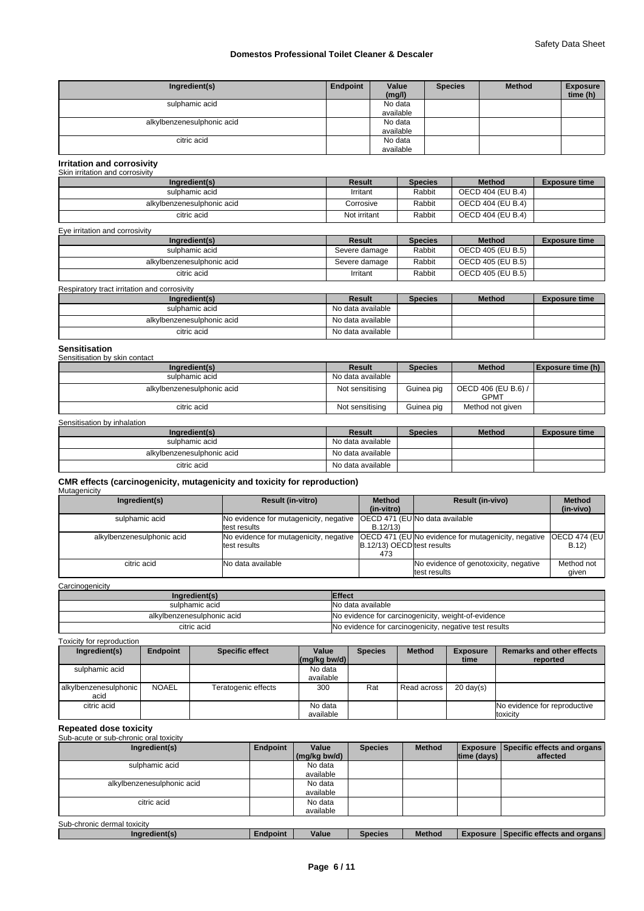| Ingredient(s)              | Endpoint | Value<br>(mg/l) | <b>Species</b> | <b>Method</b> | <b>Exposure</b><br>time (h) |
|----------------------------|----------|-----------------|----------------|---------------|-----------------------------|
| sulphamic acid             |          | No data         |                |               |                             |
|                            |          | available       |                |               |                             |
| alkylbenzenesulphonic acid |          | No data         |                |               |                             |
|                            |          | available       |                |               |                             |
| citric acid                |          | No data         |                |               |                             |
|                            |          | available       |                |               |                             |

#### **Irritation and corrosivity** Skin irritation and corrosivity

| Ingredient(s)              | Result       | <b>Species</b> | <b>Method</b>     | <b>Exposure time</b> |
|----------------------------|--------------|----------------|-------------------|----------------------|
| sulphamic acid             | Irritant     | Rabbit         | OECD 404 (EU B.4) |                      |
| alkylbenzenesulphonic acid | Corrosive    | Rabbit         | OECD 404 (EU B.4) |                      |
| citric acid                | Not irritant | Rabbit         | OECD 404 (EU B.4) |                      |

| Eye irritation and corrosivity |               |                |                   |                      |
|--------------------------------|---------------|----------------|-------------------|----------------------|
| Ingredient(s)                  | Result        | <b>Species</b> | <b>Method</b>     | <b>Exposure time</b> |
| sulphamic acid                 | Severe damage | Rabbit         | OECD 405 (EU B.5) |                      |
| alkylbenzenesulphonic acid     | Severe damage | Rabbit         | OECD 405 (EU B.5) |                      |
| citric acid                    | Irritant      | Rabbit         | OECD 405 (EU B.5) |                      |

#### Respiratory tract irritation and corrosivity

| Ingredient(s)              | Result            | <b>Species</b> | <b>Method</b> | <b>Exposure time</b> |
|----------------------------|-------------------|----------------|---------------|----------------------|
| sulphamic acid             | No data available |                |               |                      |
| alkylbenzenesulphonic acid | No data available |                |               |                      |
| citric acid                | No data available |                |               |                      |

### **Sensitisation**

| Sensitisation by skin contact |                   |                |                     |                   |
|-------------------------------|-------------------|----------------|---------------------|-------------------|
| Ingredient(s)                 | <b>Result</b>     | <b>Species</b> | <b>Method</b>       | Exposure time (h) |
| sulphamic acid                | No data available |                |                     |                   |
| alkylbenzenesulphonic acid    | Not sensitising   | Guinea pig     | OECD 406 (EU B.6) / |                   |
|                               |                   |                | <b>GPMT</b>         |                   |
| citric acid                   | Not sensitising   | Guinea pig     | Method not given    |                   |

#### Sensitisation by inhalation

| Ingredient(s)              | Result            | <b>Species</b> | <b>Method</b> | <b>Exposure time</b> |
|----------------------------|-------------------|----------------|---------------|----------------------|
| sulphamic acid             | No data available |                |               |                      |
| alkylbenzenesulphonic acid | No data available |                |               |                      |
| citric acid                | No data available |                |               |                      |

#### **CMR effects (carcinogenicity, mutagenicity and toxicity for reproduction)** Mutagenicity

| Ingredient(s)              | <b>Result (in-vitro)</b>               | <b>Method</b>                     | <b>Result (in-vivo)</b>                                   | <b>Method</b>         |
|----------------------------|----------------------------------------|-----------------------------------|-----------------------------------------------------------|-----------------------|
|                            |                                        | (in-vitro)                        |                                                           | (in-vivo)             |
| sulphamic acid             | No evidence for mutagenicity, negative |                                   | <b>IOECD 471 (EUINo data available</b>                    |                       |
|                            | test results                           | B.12/13                           |                                                           |                       |
| alkylbenzenesulphonic acid | No evidence for mutagenicity, negative |                                   | <b>OECD 471 (EUNo evidence for mutagenicity, negative</b> | <b>IOECD 474 (EUI</b> |
|                            | test results                           | <b>B.12/13) OECD test results</b> |                                                           | B.12                  |
|                            |                                        | 473                               |                                                           |                       |
| citric acid                | <b>No data available</b>               |                                   | No evidence of genotoxicity, negative                     | Method not            |
|                            |                                        |                                   | test results                                              | given                 |

#### **Carcinogenicity**

| Ingredient(s)              | <b>Effect</b>                                          |
|----------------------------|--------------------------------------------------------|
| sulphamic acid             | No data available                                      |
| alkylbenzenesulphonic acid | No evidence for carcinogenicity, weight-of-evidence    |
| citric acid                | No evidence for carcinogenicity, negative test results |

#### Toxicity for reproduction Ingredient(s) Endpoint Specific effect Value Species Method **(mg/kg bw/d)**  Species | Method | Exposure | Remarks and other effects | **time reported**  sulphamic acid **No data** available alkylbenzenesulphonic NOAEL acid<br>citric acid Teratogenic effects | 300 | Rat Read across | 20 day(s) citric acid **No data** No data No data No data No data No data No data No data No data No data No data No data No available No evidence for reproductive toxicity

# **Repeated dose toxicity**

| Sub-acute or sub-chronic oral toxicity |          |              |                |               |             |                                             |
|----------------------------------------|----------|--------------|----------------|---------------|-------------|---------------------------------------------|
| Ingredient(s)                          | Endpoint | Value        | <b>Species</b> | <b>Method</b> |             | <b>Exposure Specific effects and organs</b> |
|                                        |          | (mg/kg bw/d) |                |               | time (days) | affected                                    |
| sulphamic acid                         |          | No data      |                |               |             |                                             |
|                                        |          | available    |                |               |             |                                             |
| alkylbenzenesulphonic acid             |          | No data      |                |               |             |                                             |
|                                        |          | available    |                |               |             |                                             |
| citric acid                            |          | No data      |                |               |             |                                             |
|                                        |          | available    |                |               |             |                                             |
| Sub-chronic dermal toxicity            |          |              |                |               |             |                                             |
| Ingredient(s)                          | Endpoint | Value        | <b>Species</b> | <b>Method</b> |             | Exposure Specific effects and organs        |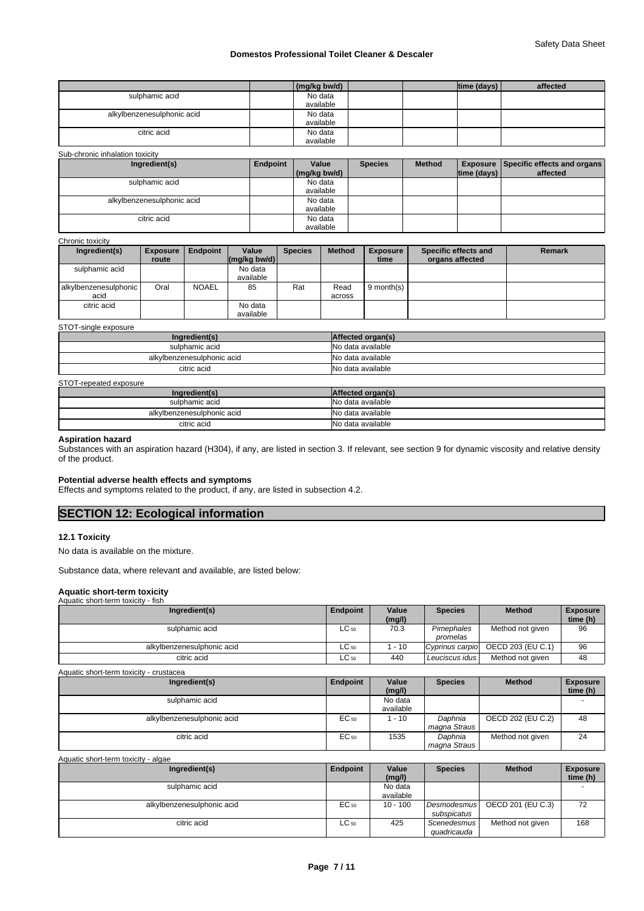|                            | $\frac{1}{2}$ (mg/kg bw/d) |  | $ time$ (days) $ $ | affected |
|----------------------------|----------------------------|--|--------------------|----------|
| sulphamic acid             | No data                    |  |                    |          |
|                            | available                  |  |                    |          |
| alkylbenzenesulphonic acid | No data                    |  |                    |          |
|                            | available                  |  |                    |          |
| citric acid                | No data                    |  |                    |          |
|                            | available                  |  |                    |          |

| Sub-chronic inhalation toxicity<br>Ingredient(s) | Endpoint | Value<br>(mg/kg bw/d) | <b>Species</b> | <b>Method</b> | $ time$ (days) $ $ | <b>Exposure   Specific effects and organs  </b><br>affected |
|--------------------------------------------------|----------|-----------------------|----------------|---------------|--------------------|-------------------------------------------------------------|
| sulphamic acid                                   |          | No data<br>available  |                |               |                    |                                                             |
| alkylbenzenesulphonic acid                       |          | No data<br>available  |                |               |                    |                                                             |
| citric acid                                      |          | No data<br>available  |                |               |                    |                                                             |

#### Chronic toxicity

| Ingredient(s)                 | <b>Exposure</b><br>route | <b>Endpoint</b> | Value<br>$\left \frac{\text{mg}}{\text{kg}}\right $ (mg/kg bw/d) | <b>Species</b> | <b>Method</b>  | <b>Exposure</b><br>time | Specific effects and<br>organs affected | <b>Remark</b> |
|-------------------------------|--------------------------|-----------------|------------------------------------------------------------------|----------------|----------------|-------------------------|-----------------------------------------|---------------|
| sulphamic acid                |                          |                 | No data<br>available                                             |                |                |                         |                                         |               |
| alkylbenzenesulphonic<br>acid | Oral                     | <b>NOAEL</b>    | 85                                                               | Rat            | Read<br>across | 9 month(s) $\vert$      |                                         |               |
| citric acid                   |                          |                 | No data<br>available                                             |                |                |                         |                                         |               |

#### STOT-single exposure

| Ingredient(s)              | Affected organ(s) |
|----------------------------|-------------------|
| sulphamic acid             | No data available |
| alkylbenzenesulphonic acid | No data available |
| citric acid                | No data available |

#### STOT-repeated exposure

| Ingredient(s)              | Affected organ(s) |
|----------------------------|-------------------|
| sulphamic acid             | No data available |
| alkylbenzenesulphonic acid | No data available |
| citric acid                | No data available |

#### **Aspiration hazard**

Substances with an aspiration hazard (H304), if any, are listed in section 3. If relevant, see section 9 for dynamic viscosity and relative density of the product.

#### **Potential adverse health effects and symptoms**

Effects and symptoms related to the product, if any, are listed in subsection 4.2.

# **SECTION 12: Ecological information**

#### **12.1 Toxicity**

No data is available on the mixture.

Substance data, where relevant and available, are listed below:

### **Aquatic short-term toxicity**

| Aquatic short-term toxicity - fish      |           |                 |                        |                   |                             |
|-----------------------------------------|-----------|-----------------|------------------------|-------------------|-----------------------------|
| Ingredient(s)                           | Endpoint  | Value<br>(mg/l) | <b>Species</b>         | <b>Method</b>     | <b>Exposure</b><br>time (h) |
| sulphamic acid                          | $LC_{50}$ | 70.3            | Pimephales<br>promelas | Method not given  | 96                          |
| alkylbenzenesulphonic acid              | $LC_{50}$ | 1 - 10          | Cyprinus carpio        | OECD 203 (EU C.1) | 96                          |
| citric acid                             | $LC_{50}$ | 440             | Leuciscus idus         | Method not given  | 48                          |
| Aquatic short-term toxicity - crustacea |           |                 |                        |                   |                             |

| Ingredient(s)              | Endpoint | Value     | <b>Species</b> | <b>Method</b>     | <b>Exposure</b> |
|----------------------------|----------|-----------|----------------|-------------------|-----------------|
|                            |          | (mg/l)    |                |                   | time (h)        |
| sulphamic acid             |          | No data   |                |                   |                 |
|                            |          | available |                |                   |                 |
| alkylbenzenesulphonic acid | EC 50    | $-10$     | Daphnia        | OECD 202 (EU C.2) | 48              |
|                            |          |           | magna Straus   |                   |                 |
| citric acid                | EC 50    | 1535      | Daphnia        | Method not given  | 24              |
|                            |          |           | magna Straus   |                   |                 |

| Aquatic short-term toxicity - algae |           |                      |                            |                   |                             |
|-------------------------------------|-----------|----------------------|----------------------------|-------------------|-----------------------------|
| Ingredient(s)                       | Endpoint  | Value<br>(mg/l)      | <b>Species</b>             | <b>Method</b>     | <b>Exposure</b><br>time (h) |
| sulphamic acid                      |           | No data<br>available |                            |                   |                             |
| alkylbenzenesulphonic acid          | EC 50     | $10 - 100$           | Desmodesmus<br>subspicatus | OECD 201 (EU C.3) | 72                          |
| citric acid                         | $LC_{50}$ | 425                  | Scenedesmus<br>quadricauda | Method not given  | 168                         |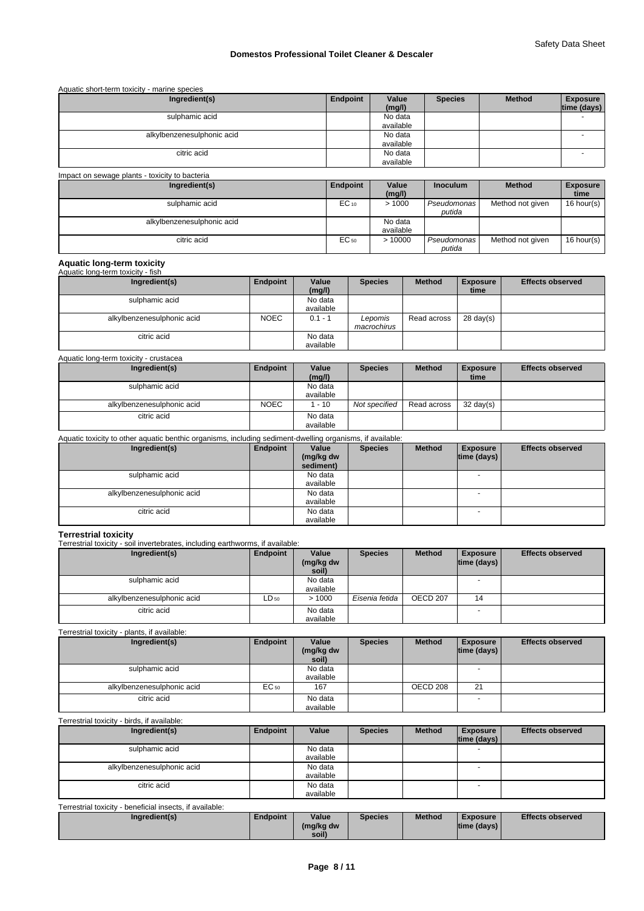| Aquatic short-term toxicity - marine species   |          |                      |                 |               |                                |
|------------------------------------------------|----------|----------------------|-----------------|---------------|--------------------------------|
| Ingredient(s)                                  | Endpoint | Value<br>(mg/l)      | <b>Species</b>  | <b>Method</b> | <b>Exposure</b><br>time (days) |
| sulphamic acid                                 |          | No data<br>available |                 |               |                                |
| alkylbenzenesulphonic acid                     |          | No data<br>available |                 |               |                                |
| citric acid                                    |          | No data<br>available |                 |               | -                              |
| Impact on sewage plants - toxicity to bacteria |          |                      |                 |               |                                |
| Ingredient(s)                                  | Endpoint | Value<br>(mn/l)      | <b>Inoculum</b> | <b>Method</b> | <b>Exposure</b><br>timo        |

|                            |                  | (mg/l)    |               |                  | time       |
|----------------------------|------------------|-----------|---------------|------------------|------------|
| sulphamic acid             | $EC_{10}$        | >1000     | Pseudomonas I | Method not given | 16 hour(s) |
|                            |                  |           | putida        |                  |            |
| alkylbenzenesulphonic acid |                  | No data   |               |                  |            |
|                            |                  | available |               |                  |            |
| citric acid                | EC <sub>50</sub> | >10000    | Pseudomonas I | Method not given | 16 hour(s) |
|                            |                  |           | putida        |                  |            |

# **Aquatic long-term toxicity** Aquatic long-term toxicity - fish

| Ingredient(s)              | Endpoint    | Value     | <b>Species</b> | <b>Method</b> | <b>Exposure</b>     | <b>Effects observed</b> |
|----------------------------|-------------|-----------|----------------|---------------|---------------------|-------------------------|
|                            |             | (mg/l)    |                |               | time                |                         |
| sulphamic acid             |             | No data   |                |               |                     |                         |
|                            |             | available |                |               |                     |                         |
| alkylbenzenesulphonic acid | <b>NOEC</b> | $0.1 - 1$ | ∟epomis        | Read across   | $28 \text{ day}(s)$ |                         |
|                            |             |           | macrochirus    |               |                     |                         |
| citric acid                |             | No data   |                |               |                     |                         |
|                            |             | available |                |               |                     |                         |

| Aquatic long-term toxicity - crustacea |
|----------------------------------------|
|----------------------------------------|

| Ingredient(s)              | Endpoint    | Value<br>(mg/l)      | <b>Species</b> | <b>Method</b> | <b>Exposure</b><br>time | <b>Effects observed</b> |
|----------------------------|-------------|----------------------|----------------|---------------|-------------------------|-------------------------|
| sulphamic acid             |             | No data<br>available |                |               |                         |                         |
| alkylbenzenesulphonic acid | <b>NOEC</b> | $-10$                | Not specified  | Read across   | $32 \text{ day}(s)$     |                         |
| citric acid                |             | No data<br>available |                |               |                         |                         |

#### Aquatic toxicity to other aquatic benthic organisms, including sediment-dwelling organisms, if available:

| Ingredient(s)              | Endpoint | Value<br>(mg/kg dw | <b>Species</b> | <b>Method</b> | <b>Exposure</b><br>$ time$ (days) $ $ | <b>Effects observed</b> |
|----------------------------|----------|--------------------|----------------|---------------|---------------------------------------|-------------------------|
|                            |          | sediment)          |                |               |                                       |                         |
| sulphamic acid             |          | No data            |                |               |                                       |                         |
|                            |          | available          |                |               |                                       |                         |
| alkylbenzenesulphonic acid |          | No data            |                |               | <b>.</b>                              |                         |
|                            |          | available          |                |               |                                       |                         |
| citric acid                |          | No data            |                |               | $\overline{\phantom{a}}$              |                         |
|                            |          | available          |                |               |                                       |                         |

**Terrestrial toxicity** Terrestrial toxicity - soil invertebrates, including earthworms, if available:

| Ingredient(s)              | Endpoint | Value<br>(mg/kg dw<br>soil) | <b>Species</b> | <b>Method</b> | <b>Exposure</b><br>$ time$ (days) $ $ | <b>Effects observed</b> |
|----------------------------|----------|-----------------------------|----------------|---------------|---------------------------------------|-------------------------|
| sulphamic acid             |          | No data<br>available        |                |               | $\overline{\phantom{0}}$              |                         |
| alkylbenzenesulphonic acid | LD 50    | >1000                       | Eisenia fetida | OECD 207      | 14                                    |                         |
| citric acid                |          | No data<br>available        |                |               | $\sim$                                |                         |

Terrestrial toxicity - plants, if available:

| Ingredient(s)              | Endpoint | Value<br>(mg/kg dw<br>soil) | <b>Species</b> | <b>Method</b> | <b>Exposure</b><br>$ time$ (days) $ $ | <b>Effects observed</b> |
|----------------------------|----------|-----------------------------|----------------|---------------|---------------------------------------|-------------------------|
| sulphamic acid             |          | No data<br>available        |                |               | $\overline{\phantom{a}}$              |                         |
| alkylbenzenesulphonic acid | EC 50    | 167                         |                | OECD 208      | 21                                    |                         |
| citric acid                |          | No data<br>available        |                |               | <b>.</b>                              |                         |

### Terrestrial toxicity - birds, if available:

| Ingredient(s)              | Endpoint | Value     | <b>Species</b> | <b>Method</b> | <b>Exposure</b>          | <b>Effects observed</b> |
|----------------------------|----------|-----------|----------------|---------------|--------------------------|-------------------------|
|                            |          |           |                |               | $ time$ (days) $ $       |                         |
| sulphamic acid             |          | No data   |                |               |                          |                         |
|                            |          | available |                |               |                          |                         |
| alkylbenzenesulphonic acid |          | No data   |                |               | $\overline{\phantom{0}}$ |                         |
|                            |          | available |                |               |                          |                         |
| citric acid                |          | No data   |                |               | $\overline{\phantom{a}}$ |                         |
|                            |          | available |                |               |                          |                         |

| Terrestrial toxicity - beneficial insects, if available: |                 |           |                |               |                    |                         |
|----------------------------------------------------------|-----------------|-----------|----------------|---------------|--------------------|-------------------------|
| Ingredient(s)                                            | <b>Endpoint</b> | Value     | <b>Species</b> | <b>Method</b> | <b>Exposure</b>    | <b>Effects observed</b> |
|                                                          |                 | (mg/kg dw |                |               | $ time$ (days) $ $ |                         |
|                                                          |                 | soil)     |                |               |                    |                         |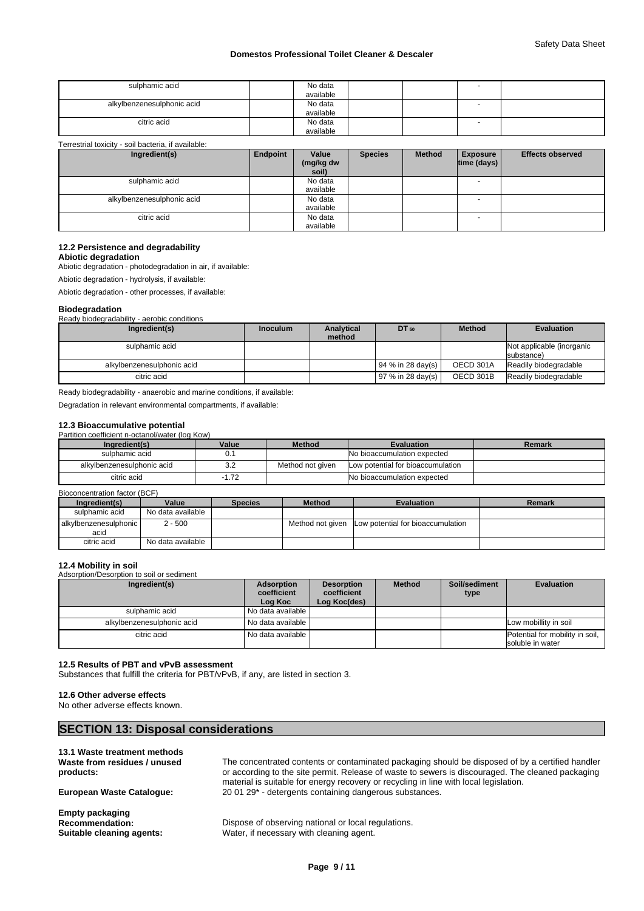| sulphamic acid             | No data<br>available |                          |  |
|----------------------------|----------------------|--------------------------|--|
| alkylbenzenesulphonic acid | No data<br>available |                          |  |
| citric acid                | No data<br>available | $\overline{\phantom{0}}$ |  |

Terrestrial toxicity - soil bacteria, if available:

| Ingredient(s)              | Endpoint | Value<br>(mg/kg dw<br>soil) | <b>Species</b> | <b>Method</b> | <b>Exposure</b><br>$ time$ (days) $ $ | <b>Effects observed</b> |
|----------------------------|----------|-----------------------------|----------------|---------------|---------------------------------------|-------------------------|
| sulphamic acid             |          | No data<br>available        |                |               |                                       |                         |
| alkylbenzenesulphonic acid |          | No data<br>available        |                |               |                                       |                         |
| citric acid                |          | No data<br>available        |                |               | <b>1</b>                              |                         |

## **12.2 Persistence and degradability**

**Abiotic degradation**

Abiotic degradation - photodegradation in air, if available:

Abiotic degradation - hydrolysis, if available:

Abiotic degradation - other processes, if available:

## **Biodegradation**

Ready biodegradability - aerobic conditions

| Ingredient(s)              | <b>Inoculum</b> | <b>Analytical</b><br>method | $DT_{50}$           | <b>Method</b> | <b>Evaluation</b>                       |
|----------------------------|-----------------|-----------------------------|---------------------|---------------|-----------------------------------------|
| sulphamic acid             |                 |                             |                     |               | Not applicable (inorganic<br>substance) |
| alkylbenzenesulphonic acid |                 |                             | $194%$ in 28 day(s) | OECD 301A     | Readily biodegradable                   |
| citric acid                |                 |                             | $197%$ in 28 day(s) | OECD 301B     | Readily biodegradable                   |

Ready biodegradability - anaerobic and marine conditions, if available:

Degradation in relevant environmental compartments, if available:

# **12.3 Bioaccumulative potential**<br>Partition coefficient n-octanol/water (log Kow)

| Partition coefficient n-octanol/water (log Kow) |       |                  |                                    |        |  |
|-------------------------------------------------|-------|------------------|------------------------------------|--------|--|
| Ingredient(s)                                   | Value | <b>Method</b>    | <b>Evaluation</b>                  | Remark |  |
| sulphamic acid                                  |       |                  | No bioaccumulation expected        |        |  |
| alkylbenzenesulphonic acid                      | 3.2   | Method not given | Low potential for bioaccumulation  |        |  |
| citric acid                                     | 1.72  |                  | <b>No bioaccumulation expected</b> |        |  |

| Bioconcentration factor (BCF) |                   |                |               |                                                    |        |
|-------------------------------|-------------------|----------------|---------------|----------------------------------------------------|--------|
| Ingredient(s)                 | Value             | <b>Species</b> | <b>Method</b> | <b>Evaluation</b>                                  | Remark |
| sulphamic acid                | No data available |                |               |                                                    |        |
| alkylbenzenesulphonic<br>acid | $2 - 500$         |                |               | Method not given Low potential for bioaccumulation |        |
| citric acid                   | No data available |                |               |                                                    |        |

**12.4 Mobility in soil** Adsorption/Desorption to soil or sediment

| Ingredient(s)              | Adsorption<br>coefficient<br>Log Koc | <b>Desorption</b><br>coefficient<br>Log Koc(des) | <b>Method</b> | Soil/sediment<br>type | <b>Evaluation</b>                                   |
|----------------------------|--------------------------------------|--------------------------------------------------|---------------|-----------------------|-----------------------------------------------------|
| sulphamic acid             | l No data available I                |                                                  |               |                       |                                                     |
| alkylbenzenesulphonic acid | No data available                    |                                                  |               |                       | Low mobillity in soil                               |
| citric acid                | No data available                    |                                                  |               |                       | Potential for mobility in soil,<br>soluble in water |

#### **12.5 Results of PBT and vPvB assessment**

Substances that fulfill the criteria for PBT/vPvB, if any, are listed in section 3.

#### **12.6 Other adverse effects**

No other adverse effects known.

# **SECTION 13: Disposal considerations**

| 13.1 Waste treatment methods<br>Waste from residues / unused<br>products:     | The concentrated contents or contaminated packaging should be disposed of by a certified handler<br>or according to the site permit. Release of waste to sewers is discouraged. The cleaned packaging<br>material is suitable for energy recovery or recycling in line with local legislation. |
|-------------------------------------------------------------------------------|------------------------------------------------------------------------------------------------------------------------------------------------------------------------------------------------------------------------------------------------------------------------------------------------|
| <b>European Waste Catalogue:</b>                                              | 20 01 29 <sup>*</sup> - detergents containing dangerous substances.                                                                                                                                                                                                                            |
| <b>Empty packaging</b><br><b>Recommendation:</b><br>Suitable cleaning agents: | Dispose of observing national or local regulations.<br>Water, if necessary with cleaning agent.                                                                                                                                                                                                |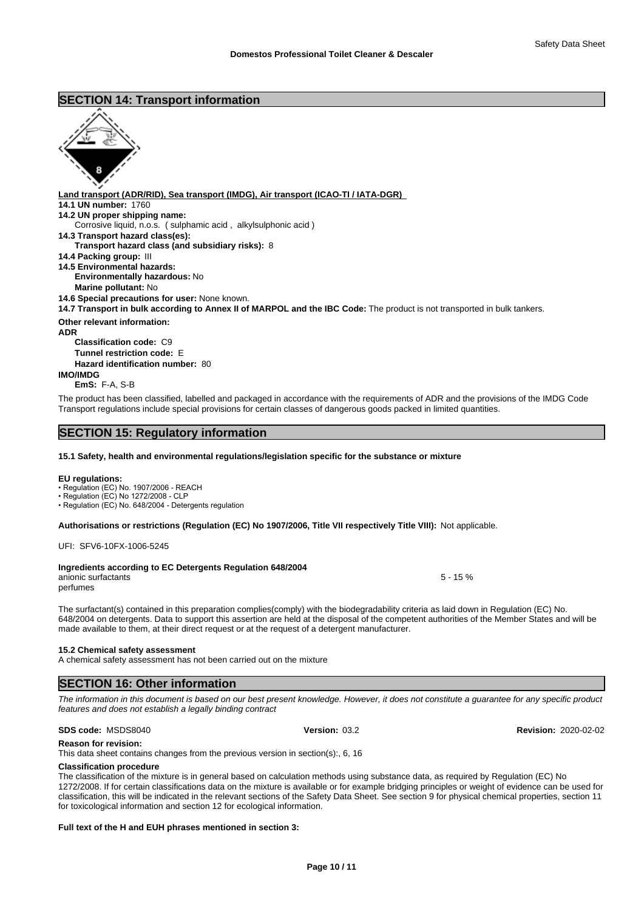# **SECTION 14: Transport information**



**Land transport (ADR/RID), Sea transport (IMDG), Air transport (ICAO-TI / IATA-DGR) 14.1 UN number:** 1760 **14.2 UN proper shipping name: 14.3 Transport hazard class(es): Transport hazard class (and subsidiary risks):** 8 **14.4 Packing group:** III **14.5 Environmental hazards: Environmentally hazardous:** No **Marine pollutant:** No **14.6 Special precautions for user:** None known. **14.7 Transport in bulk according to Annex II of MARPOL and the IBC Code:** The product is not transported in bulk tankers. **Other relevant information: ADR Classification code:** C9 **Tunnel restriction code:** E **Hazard identification number:** 80 **IMO/IMDG EmS:** F-A, S-B Corrosive liquid, n.o.s. ( sulphamic acid , alkylsulphonic acid )

The product has been classified, labelled and packaged in accordance with the requirements of ADR and the provisions of the IMDG Code Transport regulations include special provisions for certain classes of dangerous goods packed in limited quantities.

# **SECTION 15: Regulatory information**

#### **15.1 Safety, health and environmental regulations/legislation specific for the substance or mixture**

#### **EU regulations:**

• Regulation (EC) No. 1907/2006 - REACH

• Regulation (EC) No 1272/2008 - CLP

• Regulation (EC) No. 648/2004 - Detergents regulation

**Authorisations or restrictions (Regulation (EC) No 1907/2006, Title VII respectively Title VIII):** Not applicable.

UFI: SFV6-10FX-1006-5245

#### **Ingredients according to EC Detergents Regulation 648/2004** anionic surfactants 5 - 15 %

perfumes

The surfactant(s) contained in this preparation complies(comply) with the biodegradability criteria as laid down in Regulation (EC) No. 648/2004 on detergents. Data to support this assertion are held at the disposal of the competent authorities of the Member States and will be made available to them, at their direct request or at the request of a detergent manufacturer.

#### **15.2 Chemical safety assessment**

A chemical safety assessment has not been carried out on the mixture

## **SECTION 16: Other information**

*The information in this document is based on our best present knowledge. However, it does not constitute a guarantee for any specific product features and does not establish a legally binding contract*

**Reason for revision:**

This data sheet contains changes from the previous version in section(s):, 6, 16

#### **Classification procedure**

The classification of the mixture is in general based on calculation methods using substance data, as required by Regulation (EC) No 1272/2008. If for certain classifications data on the mixture is available or for example bridging principles or weight of evidence can be used for classification, this will be indicated in the relevant sections of the Safety Data Sheet. See section 9 for physical chemical properties, section 11 for toxicological information and section 12 for ecological information.

#### **Full text of the H and EUH phrases mentioned in section 3:**

#### **SDS code:** MSDS8040 **Version:** 03.2 **Revision:** 2020-02-02